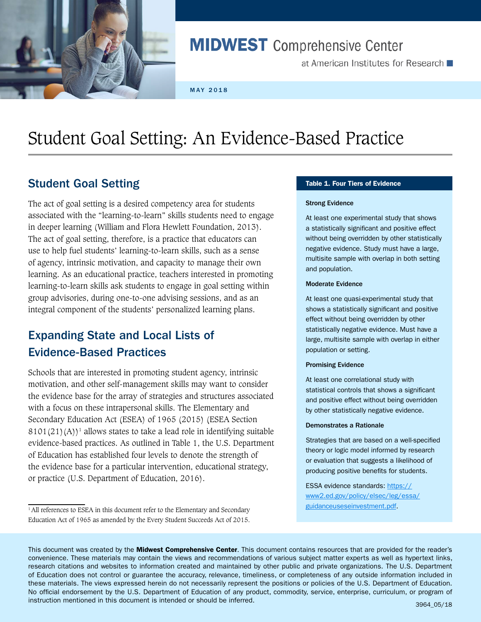

# **MIDWEST** Comprehensive Center

at American Institutes for Research  $\blacksquare$ 

MAY 2018

# Student Goal Setting: An Evidence-Based Practice

### Student Goal Setting

The act of goal setting is a desired competency area for students associated with the "learning-to-learn" skills students need to engage in deeper learning (William and Flora Hewlett Foundation, 2013). The act of goal setting, therefore, is a practice that educators can use to help fuel students' learning-to-learn skills, such as a sense of agency, intrinsic motivation, and capacity to manage their own learning. As an educational practice, teachers interested in promoting learning-to-learn skills ask students to engage in goal setting within group advisories, during one-to-one advising sessions, and as an integral component of the students' personalized learning plans.

## Expanding State and Local Lists of Evidence-Based Practices

Schools that are interested in promoting student agency, intrinsic motivation, and other self-management skills may want to consider the evidence base for the array of strategies and structures associated with a focus on these intrapersonal skills. The Elementary and Secondary Education Act (ESEA) of 1965 (2015) (ESEA Section  $8101(21)(A)^1$  allows states to take a lead role in identifying suitable evidence-based practices. As outlined in Table 1, the U.S. Department of Education has established four levels to denote the strength of the evidence base for a particular intervention, educational strategy, or practice (U.S. Department of Education, 2016).

#### Table 1. Four Tiers of Evidence

#### Strong Evidence

At least one experimental study that shows a statistically significant and positive effect without being overridden by other statistically negative evidence. Study must have a large, multisite sample with overlap in both setting and population.

#### Moderate Evidence

At least one quasi-experimental study that shows a statistically significant and positive effect without being overridden by other statistically negative evidence. Must have a large, multisite sample with overlap in either population or setting.

#### Promising Evidence

At least one correlational study with statistical controls that shows a significant and positive effect without being overridden by other statistically negative evidence.

#### Demonstrates a Rationale

Strategies that are based on a well-specified theory or logic model informed by research or evaluation that suggests a likelihood of producing positive benefits for students.

ESSA evidence standards: [https://](https://www2.ed.gov/policy/elsec/leg/essa/guidanceuseseinvestment.pdf) [www2.ed.gov/policy/elsec/leg/essa/](https://www2.ed.gov/policy/elsec/leg/essa/guidanceuseseinvestment.pdf) [guidanceuseseinvestment.pdf](https://www2.ed.gov/policy/elsec/leg/essa/guidanceuseseinvestment.pdf).

<sup>&</sup>lt;sup>1</sup> All references to ESEA in this document refer to the Elementary and Secondary Education Act of 1965 as amended by the Every Student Succeeds Act of 2015.

This document was created by the Midwest Comprehensive Center. This document contains resources that are provided for the reader's convenience. These materials may contain the views and recommendations of various subject matter experts as well as hypertext links, research citations and websites to information created and maintained by other public and private organizations. The U.S. Department of Education does not control or guarantee the accuracy, relevance, timeliness, or completeness of any outside information included in these materials. The views expressed herein do not necessarily represent the positions or policies of the U.S. Department of Education. No official endorsement by the U.S. Department of Education of any product, commodity, service, enterprise, curriculum, or program of instruction mentioned in this document is intended or should be inferred. <br>3964\_05/18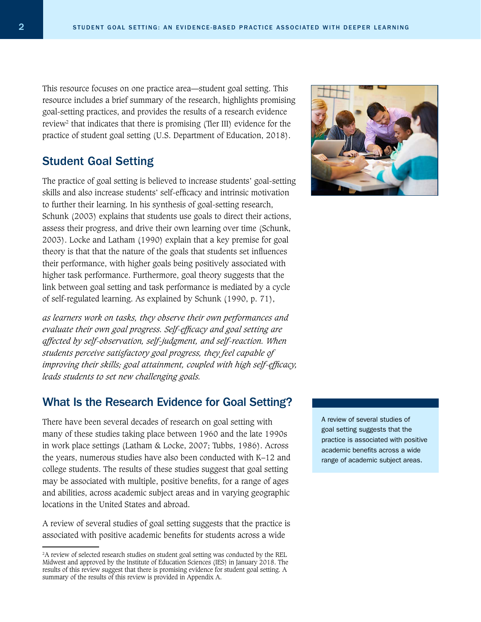This resource focuses on one practice area—student goal setting. This resource includes a brief summary of the research, highlights promising goal-setting practices, and provides the results of a research evidence review2 that indicates that there is promising (Tier III) evidence for the practice of student goal setting (U.S. Department of Education, 2018).

### Student Goal Setting

The practice of goal setting is believed to increase students' goal-setting skills and also increase students' self-efficacy and intrinsic motivation to further their learning. In his synthesis of goal-setting research, Schunk (2003) explains that students use goals to direct their actions, assess their progress, and drive their own learning over time (Schunk, 2003). Locke and Latham (1990) explain that a key premise for goal theory is that that the nature of the goals that students set influences their performance, with higher goals being positively associated with higher task performance. Furthermore, goal theory suggests that the link between goal setting and task performance is mediated by a cycle of self-regulated learning. As explained by Schunk (1990, p. 71),

*as learners work on tasks, they observe their own performances and evaluate their own goal progress. Self-efficacy and goal setting are affected by self-observation, self-judgment, and self-reaction. When students perceive satisfactory goal progress, they feel capable of improving their skills; goal attainment, coupled with high self-efficacy, leads students to set new challenging goals.* 

### What Is the Research Evidence for Goal Setting?

There have been several decades of research on goal setting with many of these studies taking place between 1960 and the late 1990s in work place settings (Latham & Locke, 2007; Tubbs, 1986). Across the years, numerous studies have also been conducted with K–12 and college students. The results of these studies suggest that goal setting may be associated with multiple, positive benefits, for a range of ages and abilities, across academic subject areas and in varying geographic locations in the United States and abroad.

A review of several studies of goal setting suggests that the practice is associated with positive academic benefits for students across a wide



A review of several studies of goal setting suggests that the practice is associated with positive academic benefits across a wide range of academic subject areas.

<sup>&</sup>lt;sup>2</sup>A review of selected research studies on student goal setting was conducted by the REL Midwest and approved by the Institute of Education Sciences (IES) in January 2018. The results of this review suggest that there is promising evidence for student goal setting. A summary of the results of this review is provided in Appendix A.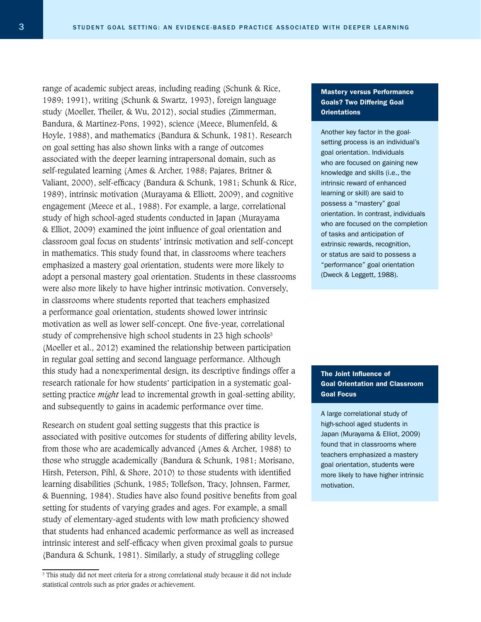range of academic subject areas, including reading (Schunk & Rice, 1989; 1991), writing (Schunk & Swartz, 1993), foreign language study (Moeller, Theiler, & Wu, 2012), social studies (Zimmerman, Bandura, & Martinez-Pons, 1992), science (Meece, Blumenfeld, & Hoyle, 1988), and mathematics (Bandura & Schunk, 1981). Research on goal setting has also shown links with a range of outcomes associated with the deeper learning intrapersonal domain, such as self-regulated learning (Ames & Archer, 1988; Pajares, Britner & Valiant, 2000), self-efficacy (Bandura & Schunk, 1981; Schunk & Rice, 1989), intrinsic motivation (Murayama & Elliott, 2009), and cognitive engagement (Meece et al., 1988). For example, a large, correlational study of high school-aged students conducted in Japan (Murayama & Elliot, 2009) examined the joint influence of goal orientation and classroom goal focus on students' intrinsic motivation and self-concept in mathematics. This study found that, in classrooms where teachers emphasized a mastery goal orientation, students were more likely to adopt a personal mastery goal orientation. Students in these classrooms were also more likely to have higher intrinsic motivation. Conversely, in classrooms where students reported that teachers emphasized a performance goal orientation, students showed lower intrinsic motivation as well as lower self-concept. One five-year, correlational study of comprehensive high school students in 23 high schools<sup>3</sup> (Moeller et al., 2012) examined the relationship between participation in regular goal setting and second language performance. Although this study had a nonexperimental design, its descriptive findings offer a research rationale for how students' participation in a systematic goalsetting practice *might* lead to incremental growth in goal-setting ability, and subsequently to gains in academic performance over time.

Research on student goal setting suggests that this practice is associated with positive outcomes for students of differing ability levels, from those who are academically advanced (Ames & Archer, 1988) to those who struggle academically (Bandura & Schunk, 1981; Morisano, Hirsh, Peterson, Pihl, & Shore, 2010) to those students with identified learning disabilities (Schunk, 1985; Tollefson, Tracy, Johnsen, Farmer, & Buenning, 1984). Studies have also found positive benefits from goal setting for students of varying grades and ages. For example, a small study of elementary-aged students with low math proficiency showed that students had enhanced academic performance as well as increased intrinsic interest and self-efficacy when given proximal goals to pursue (Bandura & Schunk, 1981). Similarly, a study of struggling college

#### Mastery versus Performance Goals? Two Differing Goal **Orientations**

Another key factor in the goalsetting process is an individual's goal orientation. Individuals who are focused on gaining new knowledge and skills (i.e., the intrinsic reward of enhanced learning or skill) are said to possess a "mastery" goal orientation. In contrast, individuals who are focused on the completion of tasks and anticipation of extrinsic rewards, recognition, or status are said to possess a "performance" goal orientation (Dweck & Leggett, 1988).

### The Joint Influence of Goal Orientation and Classroom Goal Focus

A large correlational study of high-school aged students in Japan (Murayama & Elliot, 2009) found that in classrooms where teachers emphasized a mastery goal orientation, students were more likely to have higher intrinsic motivation.

<sup>3</sup> This study did not meet criteria for a strong correlational study because it did not include statistical controls such as prior grades or achievement.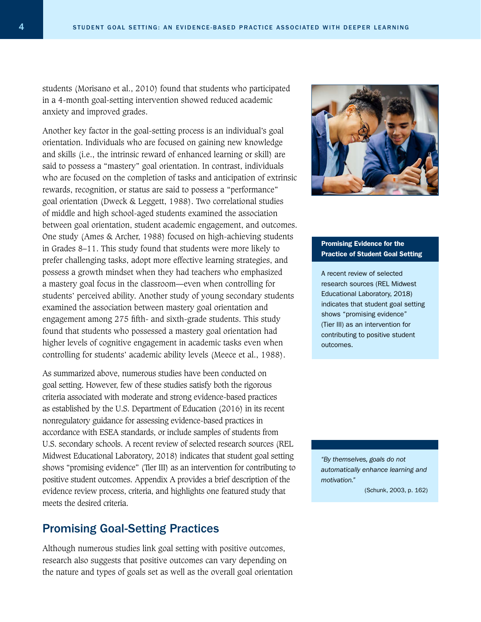students (Morisano et al., 2010) found that students who participated in a 4-month goal-setting intervention showed reduced academic anxiety and improved grades.

Another key factor in the goal-setting process is an individual's goal orientation. Individuals who are focused on gaining new knowledge and skills (i.e., the intrinsic reward of enhanced learning or skill) are said to possess a "mastery" goal orientation. In contrast, individuals who are focused on the completion of tasks and anticipation of extrinsic rewards, recognition, or status are said to possess a "performance" goal orientation (Dweck & Leggett, 1988). Two correlational studies of middle and high school-aged students examined the association between goal orientation, student academic engagement, and outcomes. One study (Ames & Archer, 1988) focused on high-achieving students in Grades 8–11. This study found that students were more likely to prefer challenging tasks, adopt more effective learning strategies, and possess a growth mindset when they had teachers who emphasized a mastery goal focus in the classroom—even when controlling for students' perceived ability. Another study of young secondary students examined the association between mastery goal orientation and engagement among 275 fifth- and sixth-grade students. This study found that students who possessed a mastery goal orientation had higher levels of cognitive engagement in academic tasks even when controlling for students' academic ability levels (Meece et al., 1988).

As summarized above, numerous studies have been conducted on goal setting. However, few of these studies satisfy both the rigorous criteria associated with moderate and strong evidence-based practices as established by the U.S. Department of Education (2016) in its recent nonregulatory guidance for assessing evidence-based practices in accordance with ESEA standards, or include samples of students from U.S. secondary schools. A recent review of selected research sources (REL Midwest Educational Laboratory, 2018) indicates that student goal setting shows "promising evidence" (Tier III) as an intervention for contributing to positive student outcomes. Appendix A provides a brief description of the evidence review process, criteria, and highlights one featured study that meets the desired criteria.

### Promising Goal-Setting Practices

Although numerous studies link goal setting with positive outcomes, research also suggests that positive outcomes can vary depending on the nature and types of goals set as well as the overall goal orientation



#### Promising Evidence for the Practice of Student Goal Setting

A recent review of selected research sources (REL Midwest Educational Laboratory, 2018) indicates that student goal setting shows "promising evidence" (Tier III) as an intervention for contributing to positive student outcomes.

*"By themselves, goals do not automatically enhance learning and motivation."* 

(Schunk, 2003, p. 162)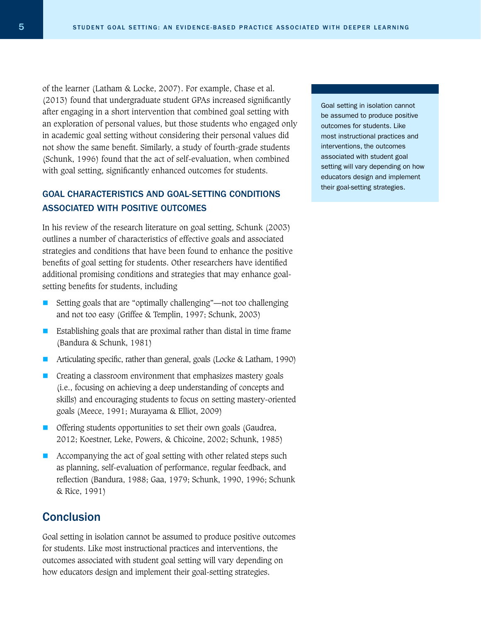of the learner (Latham & Locke, 2007). For example, Chase et al. (2013) found that undergraduate student GPAs increased significantly after engaging in a short intervention that combined goal setting with an exploration of personal values, but those students who engaged only in academic goal setting without considering their personal values did not show the same benefit. Similarly, a study of fourth-grade students (Schunk, 1996) found that the act of self-evaluation, when combined with goal setting, significantly enhanced outcomes for students.

### GOAL CHARACTERISTICS AND GOAL-SETTING CONDITIONS ASSOCIATED WITH POSITIVE OUTCOMES

In his review of the research literature on goal setting, Schunk (2003) outlines a number of characteristics of effective goals and associated strategies and conditions that have been found to enhance the positive benefits of goal setting for students. Other researchers have identified additional promising conditions and strategies that may enhance goalsetting benefits for students, including

- Setting goals that are "optimally challenging"—not too challenging and not too easy (Griffee & Templin, 1997; Schunk, 2003)
- Establishing goals that are proximal rather than distal in time frame (Bandura & Schunk, 1981)
- Articulating specific, rather than general, goals (Locke & Latham, 1990)
- Creating a classroom environment that emphasizes mastery goals (i.e., focusing on achieving a deep understanding of concepts and skills) and encouraging students to focus on setting mastery-oriented goals (Meece, 1991; Murayama & Elliot, 2009)
- **Offering students opportunities to set their own goals (Gaudrea,** 2012; Koestner, Leke, Powers, & Chicoine, 2002; Schunk, 1985)
- Accompanying the act of goal setting with other related steps such as planning, self-evaluation of performance, regular feedback, and reflection (Bandura, 1988; Gaa, 1979; Schunk, 1990, 1996; Schunk & Rice, 1991)

### **Conclusion**

Goal setting in isolation cannot be assumed to produce positive outcomes for students. Like most instructional practices and interventions, the outcomes associated with student goal setting will vary depending on how educators design and implement their goal-setting strategies.

Goal setting in isolation cannot be assumed to produce positive outcomes for students. Like most instructional practices and interventions, the outcomes associated with student goal setting will vary depending on how educators design and implement their goal-setting strategies.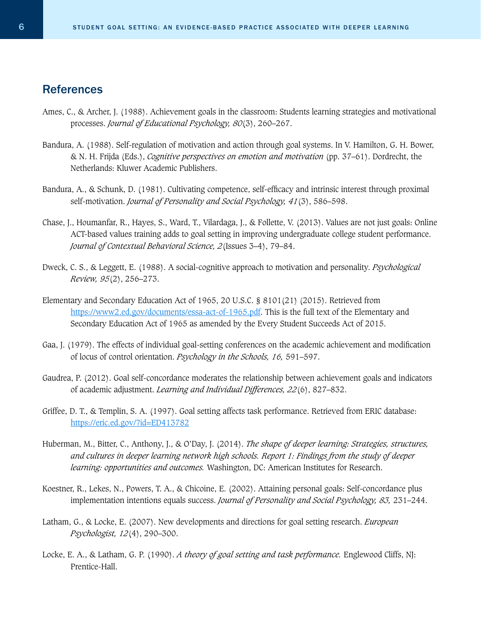### References

- Ames, C., & Archer, J. (1988). Achievement goals in the classroom: Students learning strategies and motivational processes. *Journal of Educational Psychology, 80*(3), 260–267.
- Bandura, A. (1988). Self-regulation of motivation and action through goal systems. In V. Hamilton, G. H. Bower, & N. H. Frijda (Eds.), *Cognitive perspectives on emotion and motivation* (pp. 37–61). Dordrecht, the Netherlands: Kluwer Academic Publishers.
- Bandura, A., & Schunk, D. (1981). Cultivating competence, self-efficacy and intrinsic interest through proximal self-motivation. *Journal of Personality and Social Psychology, 41*(3), 586–598.
- Chase, J., Houmanfar, R., Hayes, S., Ward, T., Vilardaga, J., & Follette, V. (2013). Values are not just goals: Online ACT-based values training adds to goal setting in improving undergraduate college student performance. *Journal of Contextual Behavioral Science, 2*(Issues 3–4), 79–84.
- Dweck, C. S., & Leggett, E. (1988). A social-cognitive approach to motivation and personality. *Psychological Review, 95*(2), 256–273.
- Elementary and Secondary Education Act of 1965, 20 U.S.C. § 8101(21) (2015). Retrieved from [https://www2.ed.gov/documents/essa-act-of-1965.pdf.](https://www2.ed.gov/documents/essa-act-of-1965.pdf) This is the full text of the Elementary and Secondary Education Act of 1965 as amended by the Every Student Succeeds Act of 2015.
- Gaa, J. (1979). The effects of individual goal-setting conferences on the academic achievement and modification of locus of control orientation. *Psychology in the Schools, 16,* 591–597.
- Gaudrea, P. (2012). Goal self-concordance moderates the relationship between achievement goals and indicators of academic adjustment. *Learning and Individual Differences, 22*(6), 827–832.
- Griffee, D. T., & Templin, S. A. (1997). Goal setting affects task performance. Retrieved from ERIC database: <https://eric.ed.gov/?id=ED413782>
- Huberman, M., Bitter, C., Anthony, J., & O'Day, J. (2014). *The shape of deeper learning: Strategies, structures, and cultures in deeper learning network high schools. Report 1: Findings from the study of deeper learning: opportunities and outcomes.* Washington, DC: American Institutes for Research.
- Koestner, R., Lekes, N., Powers, T. A., & Chicoine, E. (2002). Attaining personal goals: Self-concordance plus implementation intentions equals success. *Journal of Personality and Social Psychology, 83,* 231–244.
- Latham, G., & Locke, E. (2007). New developments and directions for goal setting research. *European Psychologist, 12*(4), 290–300.
- Locke, E. A., & Latham, G. P. (1990). *A theory of goal setting and task performance.* Englewood Cliffs, NJ: Prentice-Hall.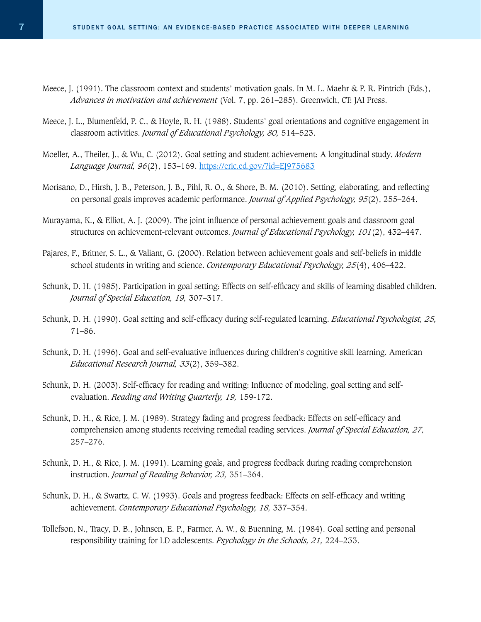- Meece, J. (1991). The classroom context and students' motivation goals. In M. L. Maehr & P. R. Pintrich (Eds.), *Advances in motivation and achievement* (Vol. 7, pp. 261–285). Greenwich, CT: JAI Press.
- Meece, J. L., Blumenfeld, P. C., & Hoyle, R. H. (1988). Students' goal orientations and cognitive engagement in classroom activities. *Journal of Educational Psychology, 80,* 514–523.
- Moeller, A., Theiler, J., & Wu, C. (2012). Goal setting and student achievement: A longitudinal study. *Modern Language Journal, 96*(2), 153–169. <https://eric.ed.gov/?id=EJ975683>
- Morisano, D., Hirsh, J. B., Peterson, J. B., Pihl, R. O., & Shore, B. M. (2010). Setting, elaborating, and reflecting on personal goals improves academic performance. *Journal of Applied Psychology, 95*(2), 255–264.
- Murayama, K., & Elliot, A. J. (2009). The joint influence of personal achievement goals and classroom goal structures on achievement-relevant outcomes. *Journal of Educational Psychology, 101*(2), 432–447.
- Pajares, F., Britner, S. L., & Valiant, G. (2000). Relation between achievement goals and self-beliefs in middle school students in writing and science. *Contemporary Educational Psychology, 25*(4), 406–422.
- Schunk, D. H. (1985). Participation in goal setting: Effects on self-efficacy and skills of learning disabled children. *Journal of Special Education, 19,* 307–317.
- Schunk, D. H. (1990). Goal setting and self-efficacy during self-regulated learning. *Educational Psychologist, 25,* 71–86.
- Schunk, D. H. (1996). Goal and self-evaluative influences during children's cognitive skill learning. American *Educational Research Journal, 33*(2), 359–382.
- Schunk, D. H. (2003). Self-efficacy for reading and writing: Influence of modeling, goal setting and selfevaluation. *Reading and Writing Quarterly, 19,* 159-172.
- Schunk, D. H., & Rice, J. M. (1989). Strategy fading and progress feedback: Effects on self-efficacy and comprehension among students receiving remedial reading services. *Journal of Special Education, 27,*  257–276.
- Schunk, D. H., & Rice, J. M. (1991). Learning goals, and progress feedback during reading comprehension instruction. *Journal of Reading Behavior, 23,* 351–364.
- Schunk, D. H., & Swartz, C. W. (1993). Goals and progress feedback: Effects on self-efficacy and writing achievement. *Contemporary Educational Psychology, 18,* 337–354.
- Tollefson, N., Tracy, D. B., Johnsen, E. P., Farmer, A. W., & Buenning, M. (1984). Goal setting and personal responsibility training for LD adolescents. *Psychology in the Schools, 21,* 224–233.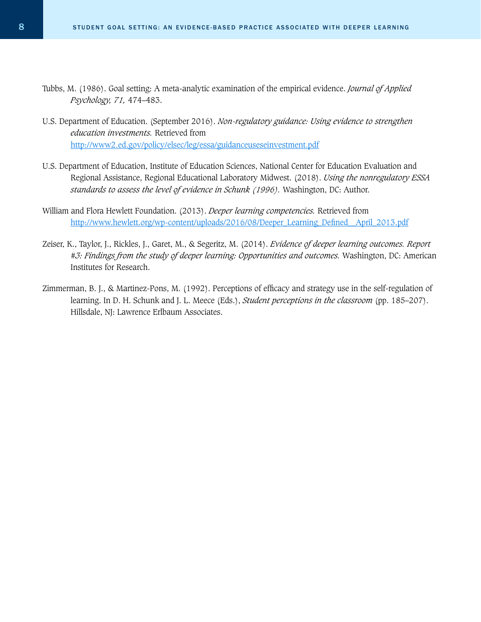- Tubbs, M. (1986). Goal setting: A meta-analytic examination of the empirical evidence. *Journal of Applied Psychology, 71,* 474–483.
- U.S. Department of Education. (September 2016). *Non-regulatory guidance: Using evidence to strengthen education investments.* Retrieved from <http://www2.ed.gov/policy/elsec/leg/essa/guidanceuseseinvestment.pdf>
- U.S. Department of Education, Institute of Education Sciences, National Center for Education Evaluation and Regional Assistance, Regional Educational Laboratory Midwest. (2018). *Using the nonregulatory ESSA standards to assess the level of evidence in Schunk (1996).* Washington, DC: Author.
- William and Flora Hewlett Foundation. (2013). *Deeper learning competencies.* Retrieved from [http://www.hewlett.org/wp-content/uploads/2016/08/Deeper\\_Learning\\_Defined\\_\\_April\\_2013.pdf](http://www.hewlett.org/wp-content/uploads/2016/08/Deeper_Learning_Defined__April_2013.pdf )
- Zeiser, K., Taylor, J., Rickles, J., Garet, M., & Segeritz, M. (2014). *Evidence of deeper learning outcomes. Report #3: Findings from the study of deeper learning: Opportunities and outcomes.* Washington, DC: American Institutes for Research.
- Zimmerman, B. J., & Martinez-Pons, M. (1992). Perceptions of efficacy and strategy use in the self-regulation of learning. In D. H. Schunk and J. L. Meece (Eds.), *Student perceptions in the classroom* (pp. 185–207). Hillsdale, NJ: Lawrence Erlbaum Associates.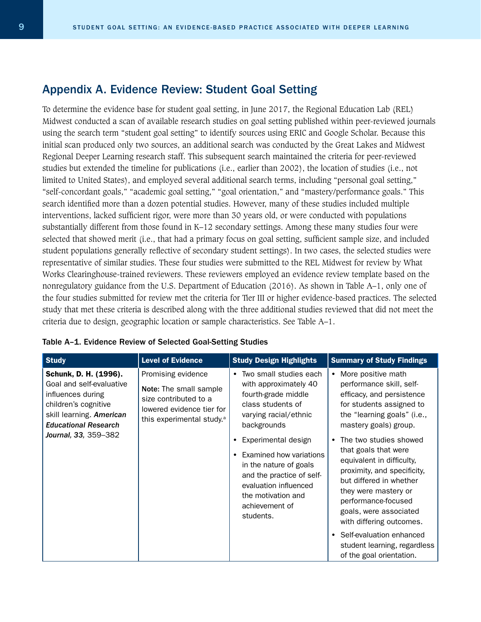### Appendix A. Evidence Review: Student Goal Setting

To determine the evidence base for student goal setting, in June 2017, the Regional Education Lab (REL) Midwest conducted a scan of available research studies on goal setting published within peer-reviewed journals using the search term "student goal setting" to identify sources using ERIC and Google Scholar. Because this initial scan produced only two sources, an additional search was conducted by the Great Lakes and Midwest Regional Deeper Learning research staff. This subsequent search maintained the criteria for peer-reviewed studies but extended the timeline for publications (i.e., earlier than 2002), the location of studies (i.e., not limited to United States), and employed several additional search terms, including "personal goal setting," "self-concordant goals," "academic goal setting," "goal orientation," and "mastery/performance goals." This search identified more than a dozen potential studies. However, many of these studies included multiple interventions, lacked sufficient rigor, were more than 30 years old, or were conducted with populations substantially different from those found in K–12 secondary settings. Among these many studies four were selected that showed merit (i.e., that had a primary focus on goal setting, sufficient sample size, and included student populations generally reflective of secondary student settings). In two cases, the selected studies were representative of similar studies. These four studies were submitted to the REL Midwest for review by What Works Clearinghouse-trained reviewers. These reviewers employed an evidence review template based on the nonregulatory guidance from the U.S. Department of Education (2016). As shown in Table A–1, only one of the four studies submitted for review met the criteria for Tier III or higher evidence-based practices. The selected study that met these criteria is described along with the three additional studies reviewed that did not meet the criteria due to design, geographic location or sample characteristics. See Table A–1.

| <b>Study</b>                                                                                                                                                                      | <b>Level of Evidence</b>                                                                                                                    | <b>Study Design Highlights</b>                                                                                                                                                      | <b>Summary of Study Findings</b>                                                                                                                                                                                                           |
|-----------------------------------------------------------------------------------------------------------------------------------------------------------------------------------|---------------------------------------------------------------------------------------------------------------------------------------------|-------------------------------------------------------------------------------------------------------------------------------------------------------------------------------------|--------------------------------------------------------------------------------------------------------------------------------------------------------------------------------------------------------------------------------------------|
| Schunk, D. H. (1996).<br>Goal and self-evaluative<br>influences during<br>children's cognitive<br>skill learning. American<br><b>Educational Research</b><br>Journal, 33, 359-382 | Promising evidence<br>Note: The small sample<br>size contributed to a<br>lowered evidence tier for<br>this experimental study. <sup>a</sup> | Two small studies each<br>$\bullet$<br>with approximately 40<br>fourth-grade middle<br>class students of<br>varying racial/ethnic<br>backgrounds                                    | More positive math<br>$\bullet$<br>performance skill, self-<br>efficacy, and persistence<br>for students assigned to<br>the "learning goals" (i.e.,<br>mastery goals) group.                                                               |
|                                                                                                                                                                                   |                                                                                                                                             | Experimental design<br>Examined how variations<br>in the nature of goals<br>and the practice of self-<br>evaluation influenced<br>the motivation and<br>achievement of<br>students. | The two studies showed<br>that goals that were<br>equivalent in difficulty,<br>proximity, and specificity,<br>but differed in whether<br>they were mastery or<br>performance-focused<br>goals, were associated<br>with differing outcomes. |
|                                                                                                                                                                                   |                                                                                                                                             |                                                                                                                                                                                     | Self-evaluation enhanced<br>student learning, regardless<br>of the goal orientation.                                                                                                                                                       |

#### Table A–1. Evidence Review of Selected Goal-Setting Studies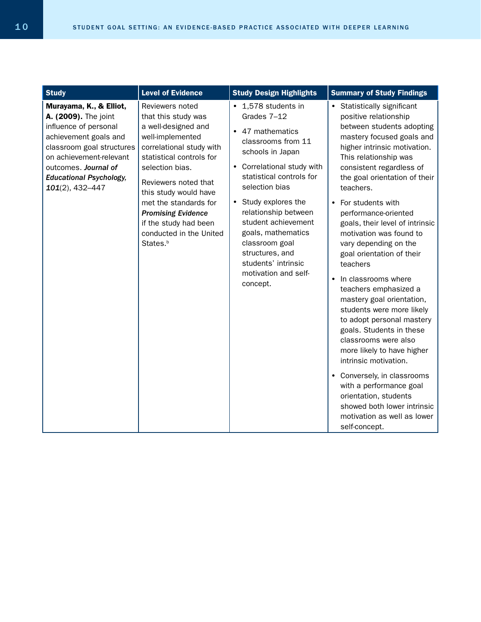| <b>Study</b>                                                                                                                                                                                                                              | <b>Level of Evidence</b>                                                                                                                                                                                                                                                                                                                        | <b>Study Design Highlights</b>                                                                                                                                                                                                                                                                                                                                            | <b>Summary of Study Findings</b>                                                                                                                                                                                                                                                                                                                                                                                                                                                                                                                                                                                                                                                                                                                                                                                                                       |
|-------------------------------------------------------------------------------------------------------------------------------------------------------------------------------------------------------------------------------------------|-------------------------------------------------------------------------------------------------------------------------------------------------------------------------------------------------------------------------------------------------------------------------------------------------------------------------------------------------|---------------------------------------------------------------------------------------------------------------------------------------------------------------------------------------------------------------------------------------------------------------------------------------------------------------------------------------------------------------------------|--------------------------------------------------------------------------------------------------------------------------------------------------------------------------------------------------------------------------------------------------------------------------------------------------------------------------------------------------------------------------------------------------------------------------------------------------------------------------------------------------------------------------------------------------------------------------------------------------------------------------------------------------------------------------------------------------------------------------------------------------------------------------------------------------------------------------------------------------------|
| Murayama, K., & Elliot,<br>A. (2009). The joint<br>influence of personal<br>achievement goals and<br>classroom goal structures<br>on achievement-relevant<br>outcomes. Journal of<br><b>Educational Psychology,</b><br>$101(2)$ , 432-447 | Reviewers noted<br>that this study was<br>a well-designed and<br>well-implemented<br>correlational study with<br>statistical controls for<br>selection bias.<br>Reviewers noted that<br>this study would have<br>met the standards for<br><b>Promising Evidence</b><br>if the study had been<br>conducted in the United<br>States. <sup>b</sup> | • 1,578 students in<br>Grades 7-12<br>• 47 mathematics<br>classrooms from 11<br>schools in Japan<br>• Correlational study with<br>statistical controls for<br>selection bias<br>• Study explores the<br>relationship between<br>student achievement<br>goals, mathematics<br>classroom goal<br>structures, and<br>students' intrinsic<br>motivation and self-<br>concept. | • Statistically significant<br>positive relationship<br>between students adopting<br>mastery focused goals and<br>higher intrinsic motivation.<br>This relationship was<br>consistent regardless of<br>the goal orientation of their<br>teachers.<br>• For students with<br>performance-oriented<br>goals, their level of intrinsic<br>motivation was found to<br>vary depending on the<br>goal orientation of their<br>teachers<br>• In classrooms where<br>teachers emphasized a<br>mastery goal orientation,<br>students were more likely<br>to adopt personal mastery<br>goals. Students in these<br>classrooms were also<br>more likely to have higher<br>intrinsic motivation.<br>• Conversely, in classrooms<br>with a performance goal<br>orientation, students<br>showed both lower intrinsic<br>motivation as well as lower<br>self-concept. |